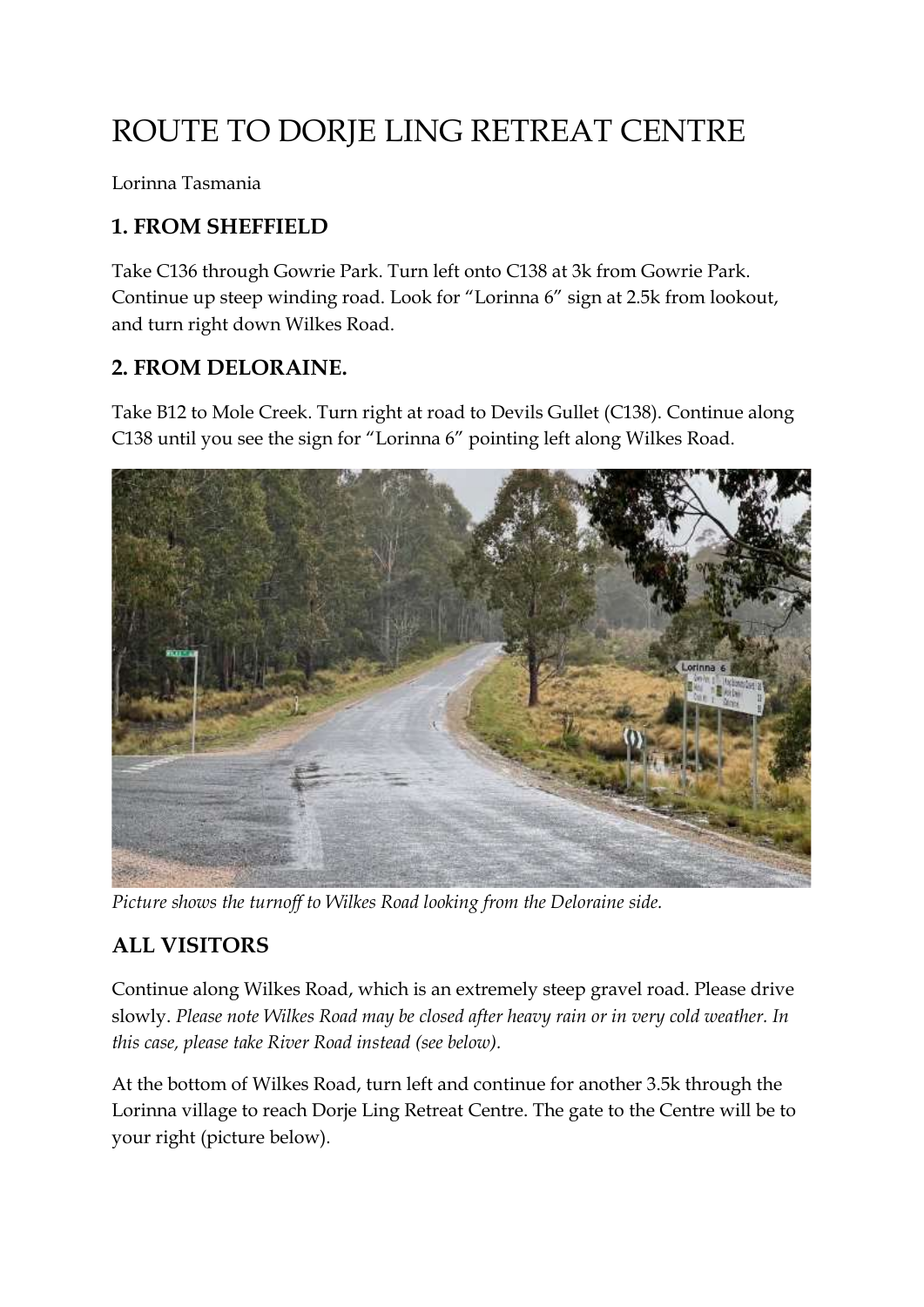## ROUTE TO DORJE LING RETREAT CENTRE

Lorinna Tasmania

## **1. FROM SHEFFIELD**

Take C136 through Gowrie Park. Turn left onto C138 at 3k from Gowrie Park. Continue up steep winding road. Look for "Lorinna 6" sign at 2.5k from lookout, and turn right down Wilkes Road.

#### **2. FROM DELORAINE.**

Take B12 to Mole Creek. Turn right at road to Devils Gullet (C138). Continue along C138 until you see the sign for "Lorinna 6" pointing left along Wilkes Road.



*Picture shows the turnoff to Wilkes Road looking from the Deloraine side.*

### **ALL VISITORS**

Continue along Wilkes Road, which is an extremely steep gravel road. Please drive slowly. *Please note Wilkes Road may be closed after heavy rain or in very cold weather. In this case, please take River Road instead (see below).*

At the bottom of Wilkes Road, turn left and continue for another 3.5k through the Lorinna village to reach Dorje Ling Retreat Centre. The gate to the Centre will be to your right (picture below).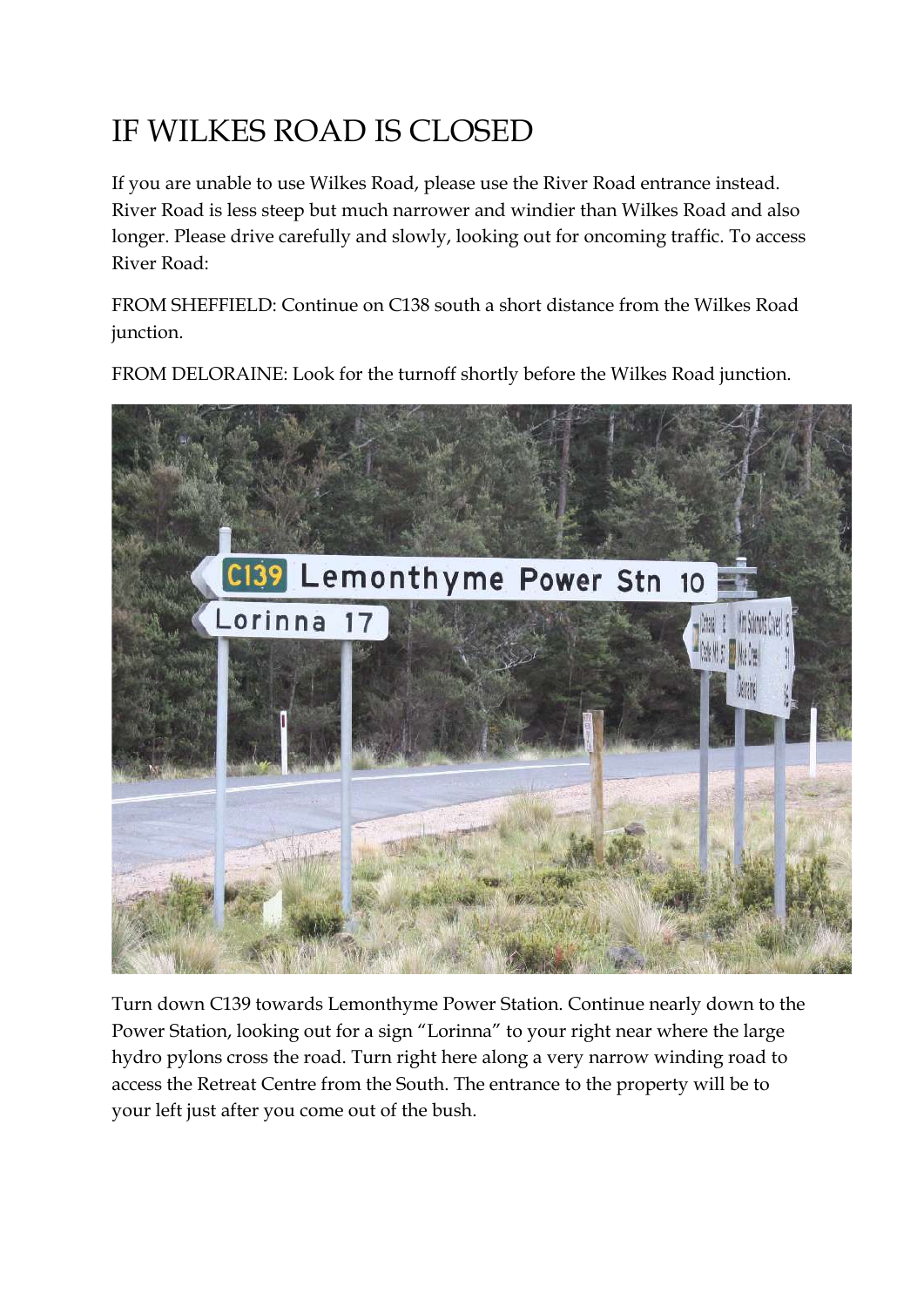# IF WILKES ROAD IS CLOSED

If you are unable to use Wilkes Road, please use the River Road entrance instead. River Road is less steep but much narrower and windier than Wilkes Road and also longer. Please drive carefully and slowly, looking out for oncoming traffic. To access River Road:

FROM SHEFFIELD: Continue on C138 south a short distance from the Wilkes Road junction.



FROM DELORAINE: Look for the turnoff shortly before the Wilkes Road junction.

Turn down C139 towards Lemonthyme Power Station. Continue nearly down to the Power Station, looking out for a sign "Lorinna" to your right near where the large hydro pylons cross the road. Turn right here along a very narrow winding road to access the Retreat Centre from the South. The entrance to the property will be to your left just after you come out of the bush.